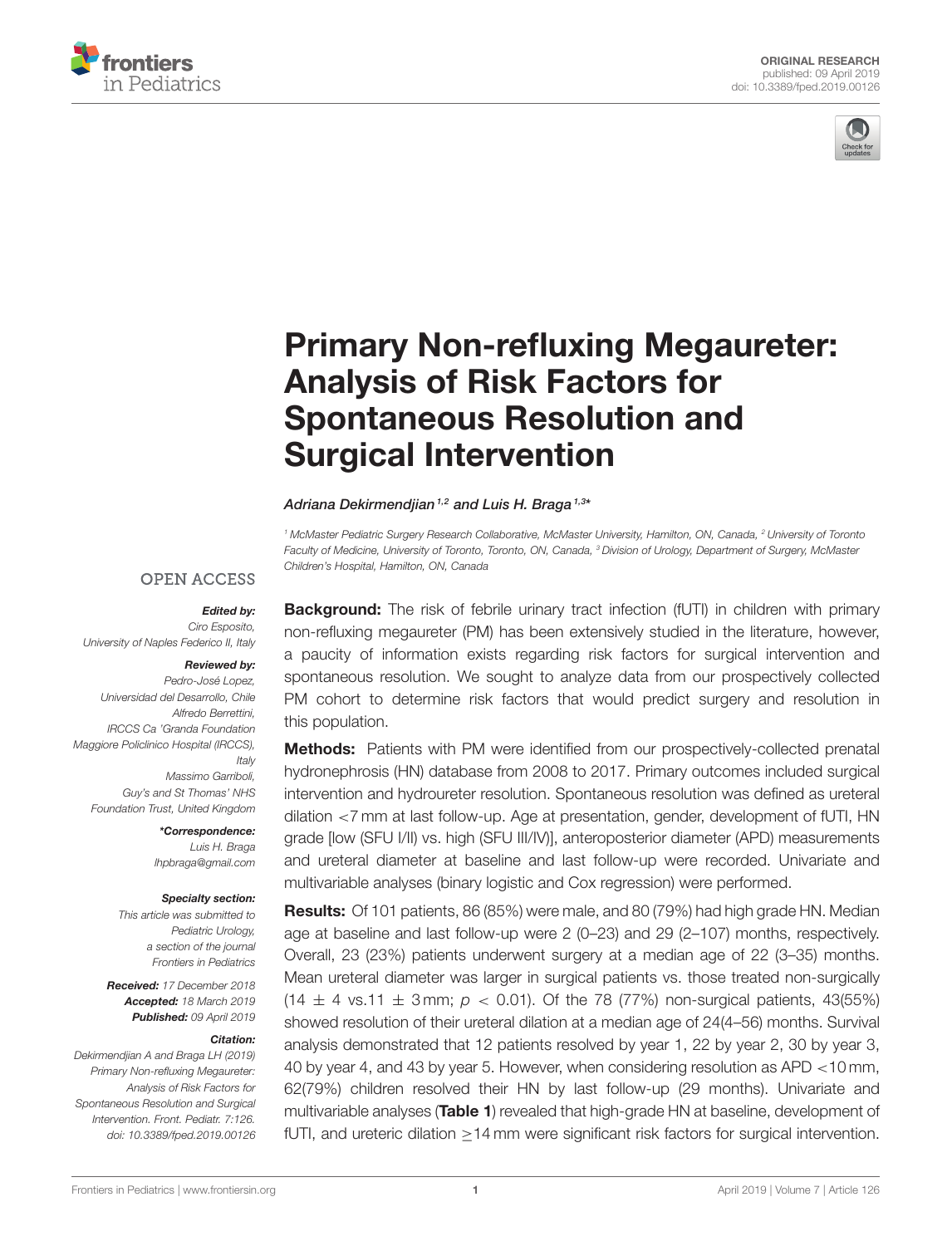



# [Primary Non-refluxing Megaureter:](https://www.frontiersin.org/articles/10.3389/fped.2019.00126/full) Analysis of Risk Factors for Spontaneous Resolution and Surgical Intervention

#### [Adriana Dekirmendjian](http://loop.frontiersin.org/people/659262/overview) <sup>1,2</sup> and [Luis H. Braga](http://loop.frontiersin.org/people/103363/overview) <sup>1,3\*</sup>

<sup>1</sup> McMaster Pediatric Surgery Research Collaborative, McMaster University, Hamilton, ON, Canada, <sup>2</sup> University of Toronto Faculty of Medicine, University of Toronto, Toronto, ON, Canada, <sup>3</sup> Division of Urology, Department of Surgery, McMaster Children's Hospital, Hamilton, ON, Canada

#### **OPEN ACCESS**

Edited by: Ciro Esposito, University of Naples Federico II, Italy

#### Reviewed by:

Pedro-José Lopez, Universidad del Desarrollo, Chile Alfredo Berrettini, IRCCS Ca 'Granda Foundation Maggiore Policlinico Hospital (IRCCS), Italy Massimo Garriboli, Guy's and St Thomas' NHS Foundation Trust, United Kingdom

> \*Correspondence: Luis H. Braga [lhpbraga@gmail.com](mailto:lhpbraga@gmail.com)

#### Specialty section:

This article was submitted to Pediatric Urology, a section of the journal Frontiers in Pediatrics

Received: 17 December 2018 Accepted: 18 March 2019 Published: 09 April 2019

#### Citation:

Dekirmendjian A and Braga LH (2019) Primary Non-refluxing Megaureter: Analysis of Risk Factors for Spontaneous Resolution and Surgical Intervention. Front. Pediatr. 7:126. doi: [10.3389/fped.2019.00126](https://doi.org/10.3389/fped.2019.00126)

**Background:** The risk of febrile urinary tract infection (fUTI) in children with primary non-refluxing megaureter (PM) has been extensively studied in the literature, however, a paucity of information exists regarding risk factors for surgical intervention and spontaneous resolution. We sought to analyze data from our prospectively collected PM cohort to determine risk factors that would predict surgery and resolution in this population.

Methods: Patients with PM were identified from our prospectively-collected prenatal hydronephrosis (HN) database from 2008 to 2017. Primary outcomes included surgical intervention and hydroureter resolution. Spontaneous resolution was defined as ureteral dilation <7 mm at last follow-up. Age at presentation, gender, development of fUTI, HN grade [low (SFU I/II) vs. high (SFU III/IV)], anteroposterior diameter (APD) measurements and ureteral diameter at baseline and last follow-up were recorded. Univariate and multivariable analyses (binary logistic and Cox regression) were performed.

Results: Of 101 patients, 86 (85%) were male, and 80 (79%) had high grade HN. Median age at baseline and last follow-up were 2 (0–23) and 29 (2–107) months, respectively. Overall, 23 (23%) patients underwent surgery at a median age of 22 (3–35) months. Mean ureteral diameter was larger in surgical patients vs. those treated non-surgically  $(14 \pm 4 \text{ vs. } 11 \pm 3 \text{ mm}; p < 0.01)$ . Of the 78 (77%) non-surgical patients, 43(55%) showed resolution of their ureteral dilation at a median age of 24(4–56) months. Survival analysis demonstrated that 12 patients resolved by year 1, 22 by year 2, 30 by year 3, 40 by year 4, and 43 by year 5. However, when considering resolution as APD <10 mm, 62(79%) children resolved their HN by last follow-up (29 months). Univariate and multivariable analyses ([Table 1](#page-2-0)) revealed that high-grade HN at baseline, development of fUTI, and ureteric dilation ≥14 mm were significant risk factors for surgical intervention.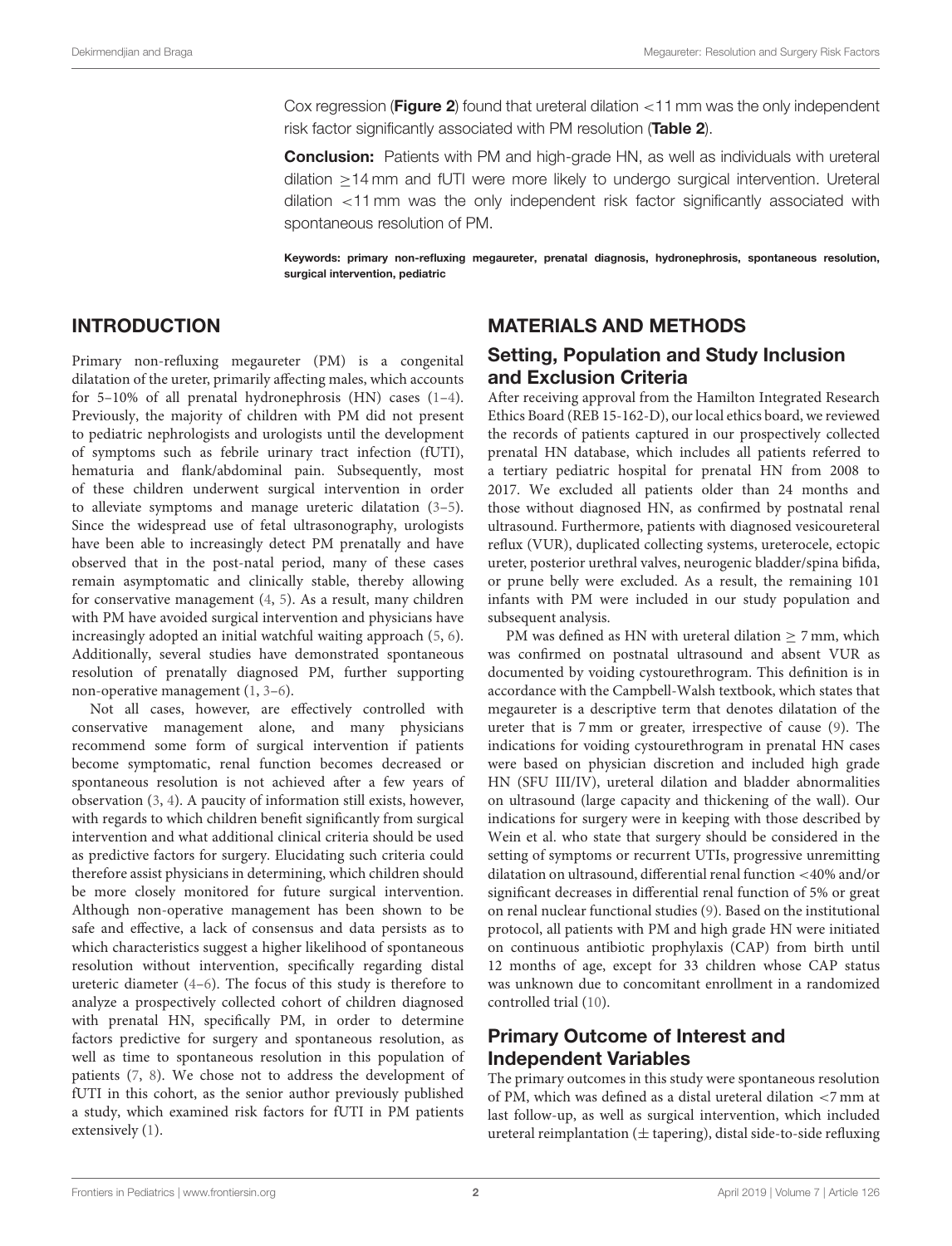Cox regression (**[Figure 2](#page-3-0)**) found that ureteral dilation  $\lt$  11 mm was the only independent risk factor significantly associated with PM resolution ([Table 2](#page-3-1)).

Conclusion: Patients with PM and high-grade HN, as well as individuals with ureteral dilation ≥14 mm and fUTI were more likely to undergo surgical intervention. Ureteral dilation <11 mm was the only independent risk factor significantly associated with spontaneous resolution of PM.

Keywords: primary non-refluxing megaureter, prenatal diagnosis, hydronephrosis, spontaneous resolution, surgical intervention, pediatric

## INTRODUCTION

Primary non-refluxing megaureter (PM) is a congenital dilatation of the ureter, primarily affecting males, which accounts for 5–10% of all prenatal hydronephrosis (HN) cases [\(1](#page-5-0)[–4\)](#page-5-1). Previously, the majority of children with PM did not present to pediatric nephrologists and urologists until the development of symptoms such as febrile urinary tract infection (fUTI), hematuria and flank/abdominal pain. Subsequently, most of these children underwent surgical intervention in order to alleviate symptoms and manage ureteric dilatation [\(3](#page-5-2)[–5\)](#page-5-3). Since the widespread use of fetal ultrasonography, urologists have been able to increasingly detect PM prenatally and have observed that in the post-natal period, many of these cases remain asymptomatic and clinically stable, thereby allowing for conservative management [\(4,](#page-5-1) [5\)](#page-5-3). As a result, many children with PM have avoided surgical intervention and physicians have increasingly adopted an initial watchful waiting approach [\(5,](#page-5-3) [6\)](#page-5-4). Additionally, several studies have demonstrated spontaneous resolution of prenatally diagnosed PM, further supporting non-operative management [\(1,](#page-5-0) [3](#page-5-2)[–6\)](#page-5-4).

Not all cases, however, are effectively controlled with conservative management alone, and many physicians recommend some form of surgical intervention if patients become symptomatic, renal function becomes decreased or spontaneous resolution is not achieved after a few years of observation [\(3,](#page-5-2) [4\)](#page-5-1). A paucity of information still exists, however, with regards to which children benefit significantly from surgical intervention and what additional clinical criteria should be used as predictive factors for surgery. Elucidating such criteria could therefore assist physicians in determining, which children should be more closely monitored for future surgical intervention. Although non-operative management has been shown to be safe and effective, a lack of consensus and data persists as to which characteristics suggest a higher likelihood of spontaneous resolution without intervention, specifically regarding distal ureteric diameter [\(4–](#page-5-1)[6\)](#page-5-4). The focus of this study is therefore to analyze a prospectively collected cohort of children diagnosed with prenatal HN, specifically PM, in order to determine factors predictive for surgery and spontaneous resolution, as well as time to spontaneous resolution in this population of patients [\(7,](#page-5-5) [8\)](#page-5-6). We chose not to address the development of fUTI in this cohort, as the senior author previously published a study, which examined risk factors for fUTI in PM patients extensively [\(1\)](#page-5-0).

### MATERIALS AND METHODS

# Setting, Population and Study Inclusion and Exclusion Criteria

After receiving approval from the Hamilton Integrated Research Ethics Board (REB 15-162-D), our local ethics board, we reviewed the records of patients captured in our prospectively collected prenatal HN database, which includes all patients referred to a tertiary pediatric hospital for prenatal HN from 2008 to 2017. We excluded all patients older than 24 months and those without diagnosed HN, as confirmed by postnatal renal ultrasound. Furthermore, patients with diagnosed vesicoureteral reflux (VUR), duplicated collecting systems, ureterocele, ectopic ureter, posterior urethral valves, neurogenic bladder/spina bifida, or prune belly were excluded. As a result, the remaining 101 infants with PM were included in our study population and subsequent analysis.

PM was defined as HN with ureteral dilation > 7 mm, which was confirmed on postnatal ultrasound and absent VUR as documented by voiding cystourethrogram. This definition is in accordance with the Campbell-Walsh textbook, which states that megaureter is a descriptive term that denotes dilatation of the ureter that is 7 mm or greater, irrespective of cause [\(9\)](#page-5-7). The indications for voiding cystourethrogram in prenatal HN cases were based on physician discretion and included high grade HN (SFU III/IV), ureteral dilation and bladder abnormalities on ultrasound (large capacity and thickening of the wall). Our indications for surgery were in keeping with those described by Wein et al. who state that surgery should be considered in the setting of symptoms or recurrent UTIs, progressive unremitting dilatation on ultrasound, differential renal function <40% and/or significant decreases in differential renal function of 5% or great on renal nuclear functional studies [\(9\)](#page-5-7). Based on the institutional protocol, all patients with PM and high grade HN were initiated on continuous antibiotic prophylaxis (CAP) from birth until 12 months of age, except for 33 children whose CAP status was unknown due to concomitant enrollment in a randomized controlled trial [\(10\)](#page-5-8).

# Primary Outcome of Interest and Independent Variables

The primary outcomes in this study were spontaneous resolution of PM, which was defined as a distal ureteral dilation <7 mm at last follow-up, as well as surgical intervention, which included ureteral reimplantation ( $\pm$  tapering), distal side-to-side refluxing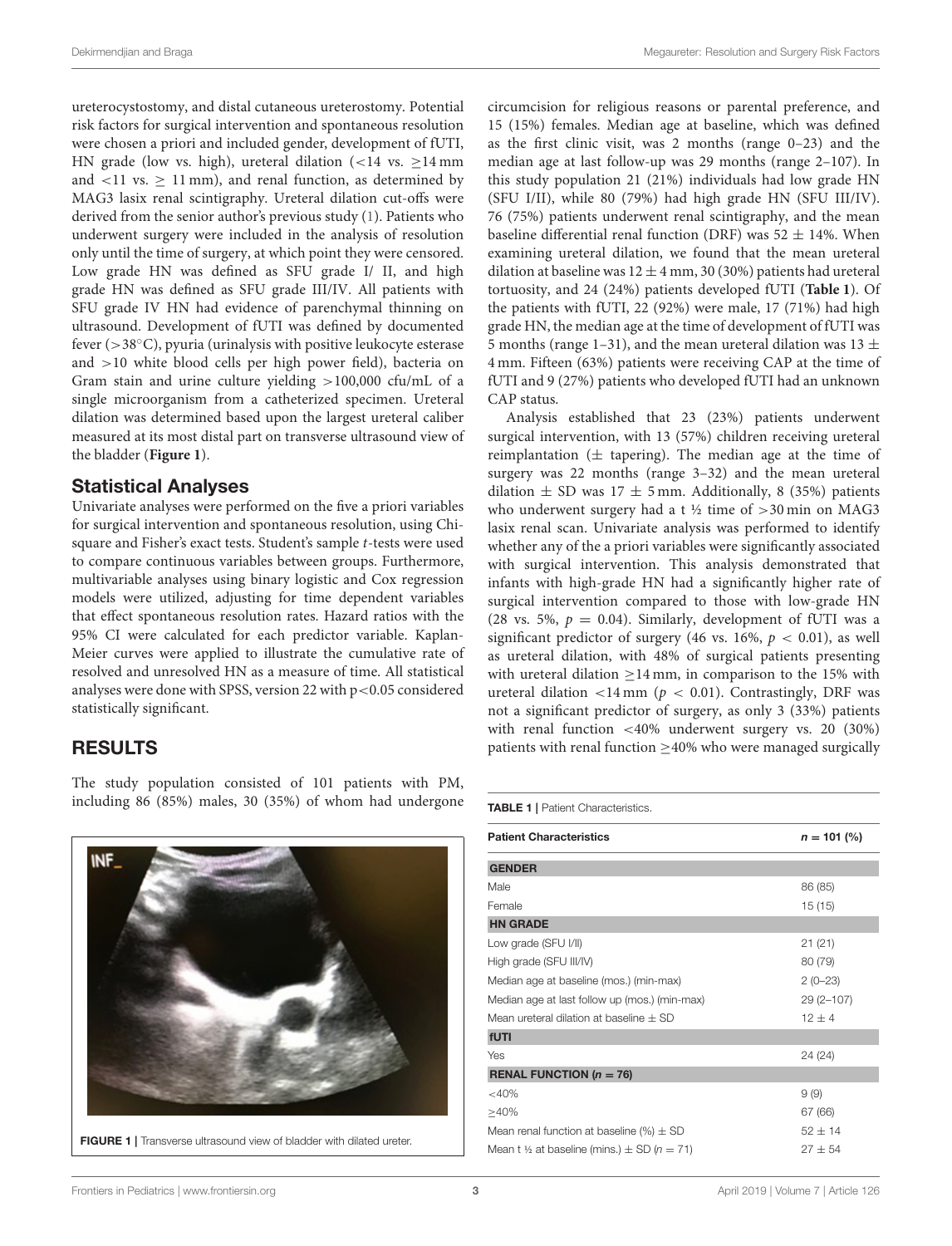ureterocystostomy, and distal cutaneous ureterostomy. Potential risk factors for surgical intervention and spontaneous resolution were chosen a priori and included gender, development of fUTI, HN grade (low vs. high), ureteral dilation  $\left($  < 14 vs. > 14 mm and  $\langle 11 \text{ vs. } \geq 11 \text{ mm} \rangle$ , and renal function, as determined by MAG3 lasix renal scintigraphy. Ureteral dilation cut-offs were derived from the senior author's previous study [\(1\)](#page-5-0). Patients who underwent surgery were included in the analysis of resolution only until the time of surgery, at which point they were censored. Low grade HN was defined as SFU grade I/ II, and high grade HN was defined as SFU grade III/IV. All patients with SFU grade IV HN had evidence of parenchymal thinning on ultrasound. Development of fUTI was defined by documented fever (>38◦C), pyuria (urinalysis with positive leukocyte esterase and >10 white blood cells per high power field), bacteria on Gram stain and urine culture yielding >100,000 cfu/mL of a single microorganism from a catheterized specimen. Ureteral dilation was determined based upon the largest ureteral caliber measured at its most distal part on transverse ultrasound view of the bladder (**[Figure 1](#page-2-1)**).

#### Statistical Analyses

Univariate analyses were performed on the five a priori variables for surgical intervention and spontaneous resolution, using Chisquare and Fisher's exact tests. Student's sample t-tests were used to compare continuous variables between groups. Furthermore, multivariable analyses using binary logistic and Cox regression models were utilized, adjusting for time dependent variables that effect spontaneous resolution rates. Hazard ratios with the 95% CI were calculated for each predictor variable. Kaplan-Meier curves were applied to illustrate the cumulative rate of resolved and unresolved HN as a measure of time. All statistical analyses were done with SPSS, version 22 with p<0.05 considered statistically significant.

## RESULTS

The study population consisted of 101 patients with PM, including 86 (85%) males, 30 (35%) of whom had undergone

<span id="page-2-1"></span>

circumcision for religious reasons or parental preference, and 15 (15%) females. Median age at baseline, which was defined as the first clinic visit, was 2 months (range 0–23) and the median age at last follow-up was 29 months (range 2–107). In this study population 21 (21%) individuals had low grade HN (SFU I/II), while 80 (79%) had high grade HN (SFU III/IV). 76 (75%) patients underwent renal scintigraphy, and the mean baseline differential renal function (DRF) was 52  $\pm$  14%. When examining ureteral dilation, we found that the mean ureteral dilation at baseline was  $12 \pm 4$  mm, 30 (30%) patients had ureteral tortuosity, and 24 (24%) patients developed fUTI (**[Table 1](#page-2-0)**). Of the patients with fUTI, 22 (92%) were male, 17 (71%) had high grade HN, the median age at the time of development of fUTI was 5 months (range 1–31), and the mean ureteral dilation was 13  $\pm$ 4 mm. Fifteen (63%) patients were receiving CAP at the time of fUTI and 9 (27%) patients who developed fUTI had an unknown CAP status.

Analysis established that 23 (23%) patients underwent surgical intervention, with 13 (57%) children receiving ureteral reimplantation  $(\pm$  tapering). The median age at the time of surgery was 22 months (range 3–32) and the mean ureteral dilation  $\pm$  SD was 17  $\pm$  5 mm. Additionally, 8 (35%) patients who underwent surgery had a t  $\frac{1}{2}$  time of  $>$ 30 min on MAG3 lasix renal scan. Univariate analysis was performed to identify whether any of the a priori variables were significantly associated with surgical intervention. This analysis demonstrated that infants with high-grade HN had a significantly higher rate of surgical intervention compared to those with low-grade HN (28 vs. 5%,  $p = 0.04$ ). Similarly, development of fUTI was a significant predictor of surgery (46 vs. 16%,  $p < 0.01$ ), as well as ureteral dilation, with 48% of surgical patients presenting with ureteral dilation  $\geq$  14 mm, in comparison to the 15% with ureteral dilation <14 mm ( $p$  < 0.01). Contrastingly, DRF was not a significant predictor of surgery, as only 3 (33%) patients with renal function <40% underwent surgery vs. 20 (30%) patients with renal function  $\geq$ 40% who were managed surgically

<span id="page-2-0"></span>TABLE 1 | Patient Characteristics.

| <b>Patient Characteristics</b>                                | $n = 101 \, (%)$ |  |  |  |  |
|---------------------------------------------------------------|------------------|--|--|--|--|
| <b>GENDER</b>                                                 |                  |  |  |  |  |
| Male                                                          | 86 (85)          |  |  |  |  |
| Female                                                        | 15(15)           |  |  |  |  |
| <b>HN GRADE</b>                                               |                  |  |  |  |  |
| Low grade (SFU I/II)                                          | 21(21)           |  |  |  |  |
| High grade (SFU III/IV)                                       | 80 (79)          |  |  |  |  |
| Median age at baseline (mos.) (min-max)                       | $2(0-23)$        |  |  |  |  |
| Median age at last follow up (mos.) (min-max)                 | $29(2 - 107)$    |  |  |  |  |
| Mean ureteral dilation at baseline $+$ SD                     | $12 \pm 4$       |  |  |  |  |
| fUTI                                                          |                  |  |  |  |  |
| Yes                                                           | 24 (24)          |  |  |  |  |
| RENAL FUNCTION ( $n = 76$ )                                   |                  |  |  |  |  |
| $<$ 40%                                                       | 9(9)             |  |  |  |  |
| $>40\%$                                                       | 67 (66)          |  |  |  |  |
| Mean renal function at baseline $(\% ) \pm SD$                | $52 + 14$        |  |  |  |  |
| Mean t 1/2 at baseline (mins.) $\pm$ SD (n = 71)<br>$27 + 54$ |                  |  |  |  |  |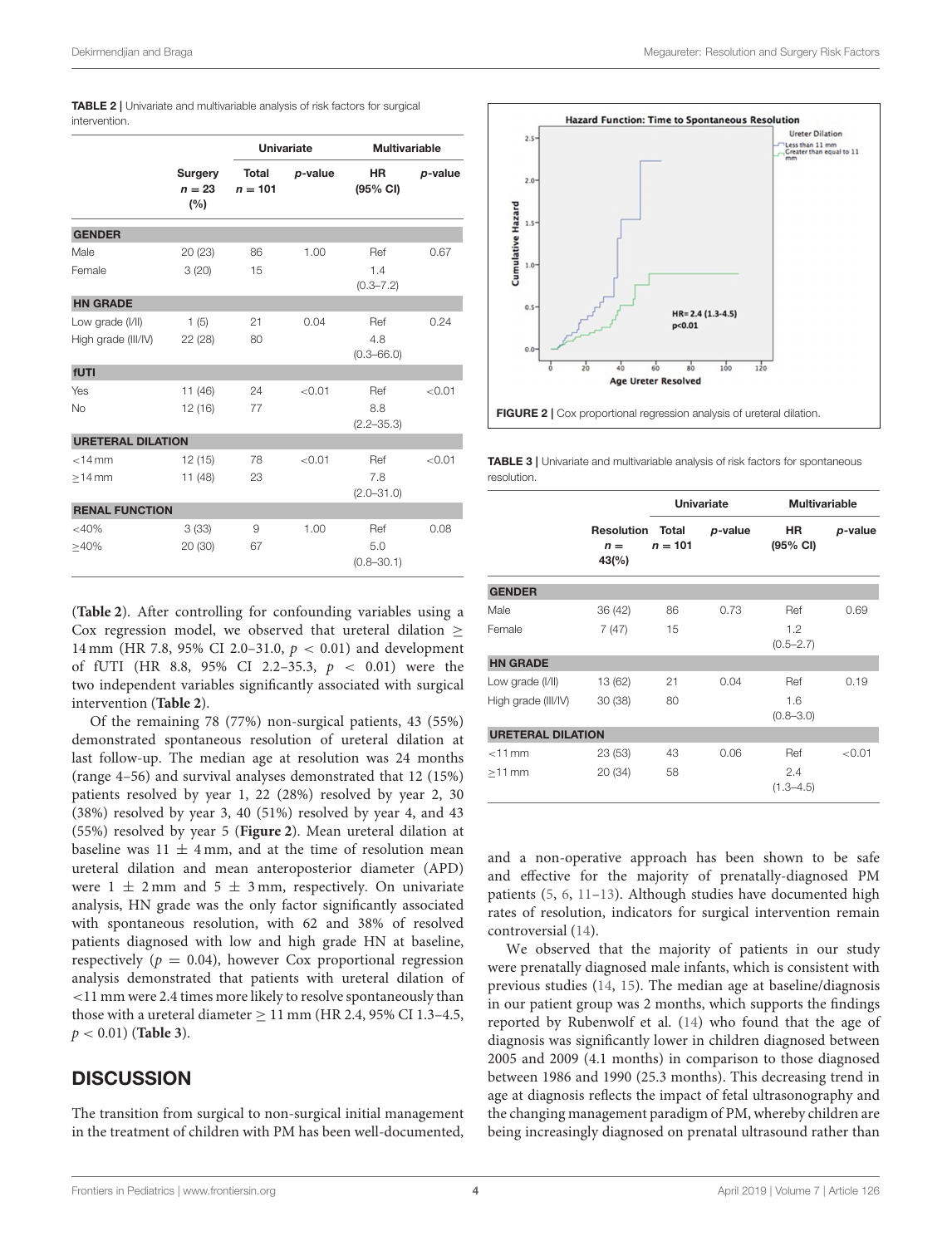<span id="page-3-1"></span>

| TABLE 2   Univariate and multivariable analysis of risk factors for surgical |  |  |  |  |
|------------------------------------------------------------------------------|--|--|--|--|
| intervention.                                                                |  |  |  |  |

|                          | Surgery<br>$n = 23$<br>(%) | <b>Univariate</b>         |         | <b>Multivariable</b>  |         |  |
|--------------------------|----------------------------|---------------------------|---------|-----------------------|---------|--|
|                          |                            | <b>Total</b><br>$n = 101$ | p-value | <b>HR</b><br>(95% CI) | p-value |  |
| <b>GENDER</b>            |                            |                           |         |                       |         |  |
| Male                     | 20 (23)                    | 86                        | 1.00    | Ref                   | 0.67    |  |
| Female                   | 3(20)                      | 15                        |         | 1.4<br>$(0.3 - 7.2)$  |         |  |
| <b>HN GRADE</b>          |                            |                           |         |                       |         |  |
| Low grade (I/II)         | 1(5)                       | 21                        | 0.04    | Ref                   | 0.24    |  |
| High grade (III/IV)      | 22 (28)                    | 80                        |         | 4.8<br>$(0.3 - 66.0)$ |         |  |
| fUTI                     |                            |                           |         |                       |         |  |
| Yes                      | 11 (46)                    | 24                        | < 0.01  | Ref                   | < 0.01  |  |
| <b>No</b>                | 12(16)                     | 77                        |         | 8.8<br>$(2.2 - 35.3)$ |         |  |
| <b>URETERAL DILATION</b> |                            |                           |         |                       |         |  |
| $<$ 14 mm                | 12(15)                     | 78                        | < 0.01  | Ref                   | < 0.01  |  |
| $>14$ mm                 | 11(48)                     | 23                        |         | 7.8<br>$(2.0 - 31.0)$ |         |  |
| <b>RENAL FUNCTION</b>    |                            |                           |         |                       |         |  |
| <40%                     | 3(33)                      | 9                         | 1.00    | Ref                   | 0.08    |  |
| >40%                     | 20 (30)                    | 67                        |         | 5.0<br>$(0.8 - 30.1)$ |         |  |

(**[Table 2](#page-3-1)**). After controlling for confounding variables using a Cox regression model, we observed that ureteral dilation  $\geq$ 14 mm (HR 7.8, 95% CI 2.0–31.0,  $p < 0.01$ ) and development of fUTI (HR 8.8, 95% CI 2.2-35.3,  $p < 0.01$ ) were the two independent variables significantly associated with surgical intervention (**[Table 2](#page-3-1)**).

Of the remaining 78 (77%) non-surgical patients, 43 (55%) demonstrated spontaneous resolution of ureteral dilation at last follow-up. The median age at resolution was 24 months (range 4–56) and survival analyses demonstrated that 12 (15%) patients resolved by year 1, 22 (28%) resolved by year 2, 30 (38%) resolved by year 3, 40 (51%) resolved by year 4, and 43 (55%) resolved by year 5 (**[Figure 2](#page-3-0)**). Mean ureteral dilation at baseline was  $11 \pm 4$  mm, and at the time of resolution mean ureteral dilation and mean anteroposterior diameter (APD) were  $1 \pm 2$  mm and  $5 \pm 3$  mm, respectively. On univariate analysis, HN grade was the only factor significantly associated with spontaneous resolution, with 62 and 38% of resolved patients diagnosed with low and high grade HN at baseline, respectively ( $p = 0.04$ ), however Cox proportional regression analysis demonstrated that patients with ureteral dilation of <11 mm were 2.4 times more likely to resolve spontaneously than those with a ureteral diameter  $\geq 11$  mm (HR 2.4, 95% CI 1.3-4.5, p < 0.01) (**[Table 3](#page-3-2)**).

#### **DISCUSSION**

The transition from surgical to non-surgical initial management in the treatment of children with PM has been well-documented,



<span id="page-3-2"></span><span id="page-3-0"></span>**TABLE 3** | Univariate and multivariable analysis of risk factors for spontaneous resolution.

|                          |                                                     | <b>Univariate</b> |         | <b>Multivariable</b> |         |  |  |  |
|--------------------------|-----------------------------------------------------|-------------------|---------|----------------------|---------|--|--|--|
|                          | <b>Resolution Total</b><br>$n =$<br>$43\frac{6}{6}$ | $n = 101$         | p-value | HR<br>(95% CI)       | p-value |  |  |  |
| <b>GENDER</b>            |                                                     |                   |         |                      |         |  |  |  |
| Male                     | 36 (42)                                             | 86                | 0.73    | Ref                  | 0.69    |  |  |  |
| Female                   | 7(47)                                               | 15                |         | 1.2<br>$(0.5 - 2.7)$ |         |  |  |  |
| <b>HN GRADE</b>          |                                                     |                   |         |                      |         |  |  |  |
| Low grade (I/II)         | 13 (62)                                             | 21                | 0.04    | Ref                  | 0.19    |  |  |  |
| High grade (III/IV)      | 30(38)                                              | 80                |         | 1.6<br>$(0.8 - 3.0)$ |         |  |  |  |
| <b>URETERAL DILATION</b> |                                                     |                   |         |                      |         |  |  |  |
| $<$ 11 mm                | 23(53)                                              | 43                | 0.06    | Ref                  | < 0.01  |  |  |  |
| $>11$ mm                 | 20 (34)                                             | 58                |         | 2.4<br>$(1.3 - 4.5)$ |         |  |  |  |

and a non-operative approach has been shown to be safe and effective for the majority of prenatally-diagnosed PM patients [\(5,](#page-5-3) [6,](#page-5-4) [11](#page-5-9)[–13\)](#page-5-10). Although studies have documented high rates of resolution, indicators for surgical intervention remain controversial [\(14\)](#page-6-0).

We observed that the majority of patients in our study were prenatally diagnosed male infants, which is consistent with previous studies [\(14,](#page-6-0) [15\)](#page-6-1). The median age at baseline/diagnosis in our patient group was 2 months, which supports the findings reported by Rubenwolf et al. [\(14\)](#page-6-0) who found that the age of diagnosis was significantly lower in children diagnosed between 2005 and 2009 (4.1 months) in comparison to those diagnosed between 1986 and 1990 (25.3 months). This decreasing trend in age at diagnosis reflects the impact of fetal ultrasonography and the changing management paradigm of PM, whereby children are being increasingly diagnosed on prenatal ultrasound rather than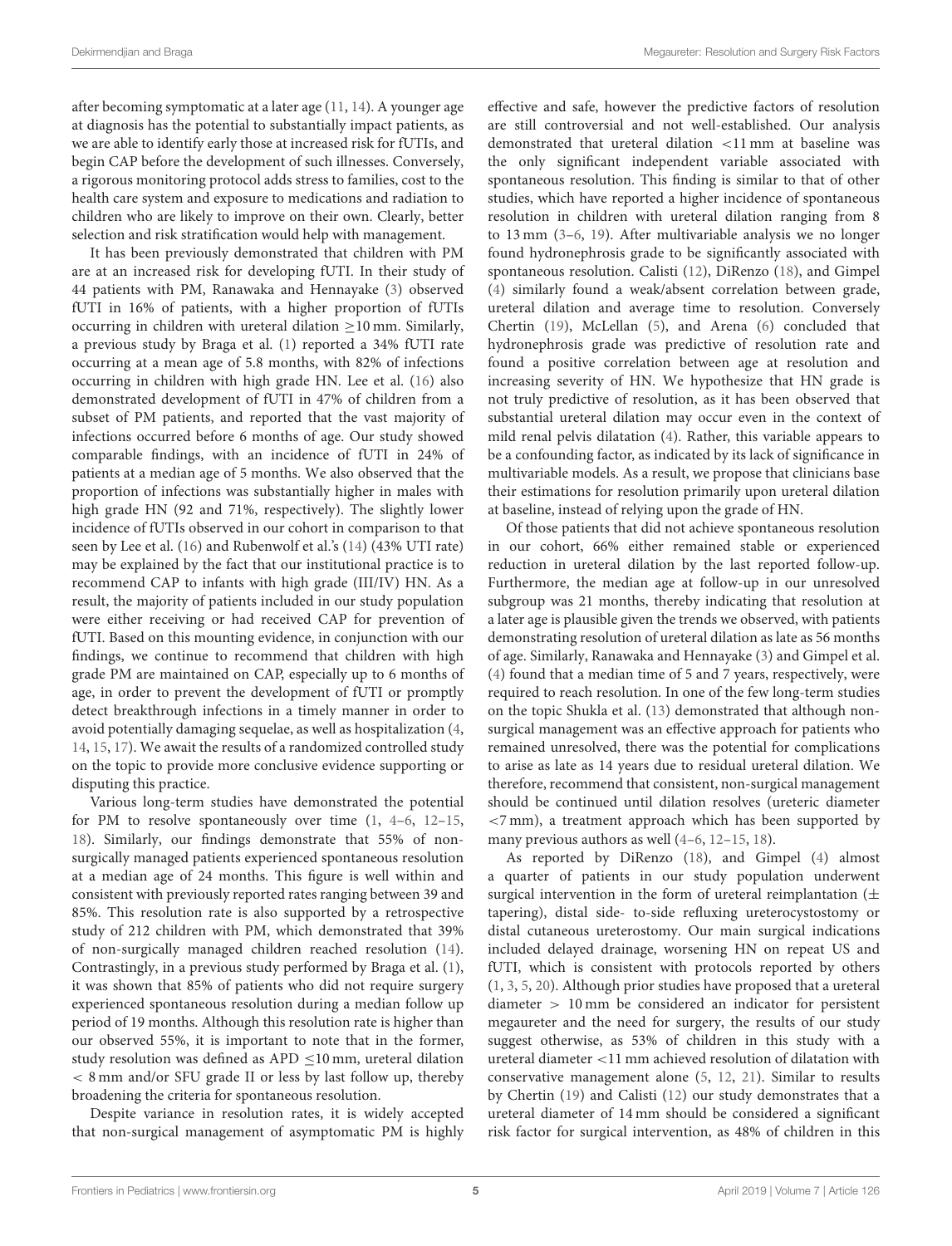after becoming symptomatic at a later age [\(11,](#page-5-9) [14\)](#page-6-0). A younger age at diagnosis has the potential to substantially impact patients, as we are able to identify early those at increased risk for fUTIs, and begin CAP before the development of such illnesses. Conversely, a rigorous monitoring protocol adds stress to families, cost to the health care system and exposure to medications and radiation to children who are likely to improve on their own. Clearly, better selection and risk stratification would help with management.

It has been previously demonstrated that children with PM are at an increased risk for developing fUTI. In their study of 44 patients with PM, Ranawaka and Hennayake [\(3\)](#page-5-2) observed fUTI in 16% of patients, with a higher proportion of fUTIs occurring in children with ureteral dilation ≥10 mm. Similarly, a previous study by Braga et al. [\(1\)](#page-5-0) reported a 34% fUTI rate occurring at a mean age of 5.8 months, with 82% of infections occurring in children with high grade HN. Lee et al. [\(16\)](#page-6-2) also demonstrated development of fUTI in 47% of children from a subset of PM patients, and reported that the vast majority of infections occurred before 6 months of age. Our study showed comparable findings, with an incidence of fUTI in 24% of patients at a median age of 5 months. We also observed that the proportion of infections was substantially higher in males with high grade HN (92 and 71%, respectively). The slightly lower incidence of fUTIs observed in our cohort in comparison to that seen by Lee et al. [\(16\)](#page-6-2) and Rubenwolf et al.'s [\(14\)](#page-6-0) (43% UTI rate) may be explained by the fact that our institutional practice is to recommend CAP to infants with high grade (III/IV) HN. As a result, the majority of patients included in our study population were either receiving or had received CAP for prevention of fUTI. Based on this mounting evidence, in conjunction with our findings, we continue to recommend that children with high grade PM are maintained on CAP, especially up to 6 months of age, in order to prevent the development of fUTI or promptly detect breakthrough infections in a timely manner in order to avoid potentially damaging sequelae, as well as hospitalization [\(4,](#page-5-1) [14,](#page-6-0) [15,](#page-6-1) [17\)](#page-6-3). We await the results of a randomized controlled study on the topic to provide more conclusive evidence supporting or disputing this practice.

Various long-term studies have demonstrated the potential for PM to resolve spontaneously over time [\(1,](#page-5-0) [4](#page-5-1)[–6,](#page-5-4) [12–](#page-5-11)[15,](#page-6-1) [18\)](#page-6-4). Similarly, our findings demonstrate that 55% of nonsurgically managed patients experienced spontaneous resolution at a median age of 24 months. This figure is well within and consistent with previously reported rates ranging between 39 and 85%. This resolution rate is also supported by a retrospective study of 212 children with PM, which demonstrated that 39% of non-surgically managed children reached resolution [\(14\)](#page-6-0). Contrastingly, in a previous study performed by Braga et al. [\(1\)](#page-5-0), it was shown that 85% of patients who did not require surgery experienced spontaneous resolution during a median follow up period of 19 months. Although this resolution rate is higher than our observed 55%, it is important to note that in the former, study resolution was defined as APD ≤10 mm, ureteral dilation < 8 mm and/or SFU grade II or less by last follow up, thereby broadening the criteria for spontaneous resolution.

Despite variance in resolution rates, it is widely accepted that non-surgical management of asymptomatic PM is highly effective and safe, however the predictive factors of resolution are still controversial and not well-established. Our analysis demonstrated that ureteral dilation <11 mm at baseline was the only significant independent variable associated with spontaneous resolution. This finding is similar to that of other studies, which have reported a higher incidence of spontaneous resolution in children with ureteral dilation ranging from 8 to 13 mm [\(3](#page-5-2)[–6,](#page-5-4) [19\)](#page-6-5). After multivariable analysis we no longer found hydronephrosis grade to be significantly associated with spontaneous resolution. Calisti [\(12\)](#page-5-11), DiRenzo [\(18\)](#page-6-4), and Gimpel [\(4\)](#page-5-1) similarly found a weak/absent correlation between grade, ureteral dilation and average time to resolution. Conversely Chertin [\(19\)](#page-6-5), McLellan [\(5\)](#page-5-3), and Arena [\(6\)](#page-5-4) concluded that hydronephrosis grade was predictive of resolution rate and found a positive correlation between age at resolution and increasing severity of HN. We hypothesize that HN grade is not truly predictive of resolution, as it has been observed that substantial ureteral dilation may occur even in the context of mild renal pelvis dilatation [\(4\)](#page-5-1). Rather, this variable appears to be a confounding factor, as indicated by its lack of significance in multivariable models. As a result, we propose that clinicians base their estimations for resolution primarily upon ureteral dilation at baseline, instead of relying upon the grade of HN.

Of those patients that did not achieve spontaneous resolution in our cohort, 66% either remained stable or experienced reduction in ureteral dilation by the last reported follow-up. Furthermore, the median age at follow-up in our unresolved subgroup was 21 months, thereby indicating that resolution at a later age is plausible given the trends we observed, with patients demonstrating resolution of ureteral dilation as late as 56 months of age. Similarly, Ranawaka and Hennayake [\(3\)](#page-5-2) and Gimpel et al. [\(4\)](#page-5-1) found that a median time of 5 and 7 years, respectively, were required to reach resolution. In one of the few long-term studies on the topic Shukla et al. [\(13\)](#page-5-10) demonstrated that although nonsurgical management was an effective approach for patients who remained unresolved, there was the potential for complications to arise as late as 14 years due to residual ureteral dilation. We therefore, recommend that consistent, non-surgical management should be continued until dilation resolves (ureteric diameter <7 mm), a treatment approach which has been supported by many previous authors as well [\(4–](#page-5-1)[6,](#page-5-4) [12–](#page-5-11)[15,](#page-6-1) [18\)](#page-6-4).

As reported by DiRenzo [\(18\)](#page-6-4), and Gimpel [\(4\)](#page-5-1) almost a quarter of patients in our study population underwent surgical intervention in the form of ureteral reimplantation  $(\pm$ tapering), distal side- to-side refluxing ureterocystostomy or distal cutaneous ureterostomy. Our main surgical indications included delayed drainage, worsening HN on repeat US and fUTI, which is consistent with protocols reported by others [\(1,](#page-5-0) [3,](#page-5-2) [5,](#page-5-3) [20\)](#page-6-6). Although prior studies have proposed that a ureteral diameter > 10 mm be considered an indicator for persistent megaureter and the need for surgery, the results of our study suggest otherwise, as 53% of children in this study with a ureteral diameter <11 mm achieved resolution of dilatation with conservative management alone [\(5,](#page-5-3) [12,](#page-5-11) [21\)](#page-6-7). Similar to results by Chertin [\(19\)](#page-6-5) and Calisti [\(12\)](#page-5-11) our study demonstrates that a ureteral diameter of 14 mm should be considered a significant risk factor for surgical intervention, as 48% of children in this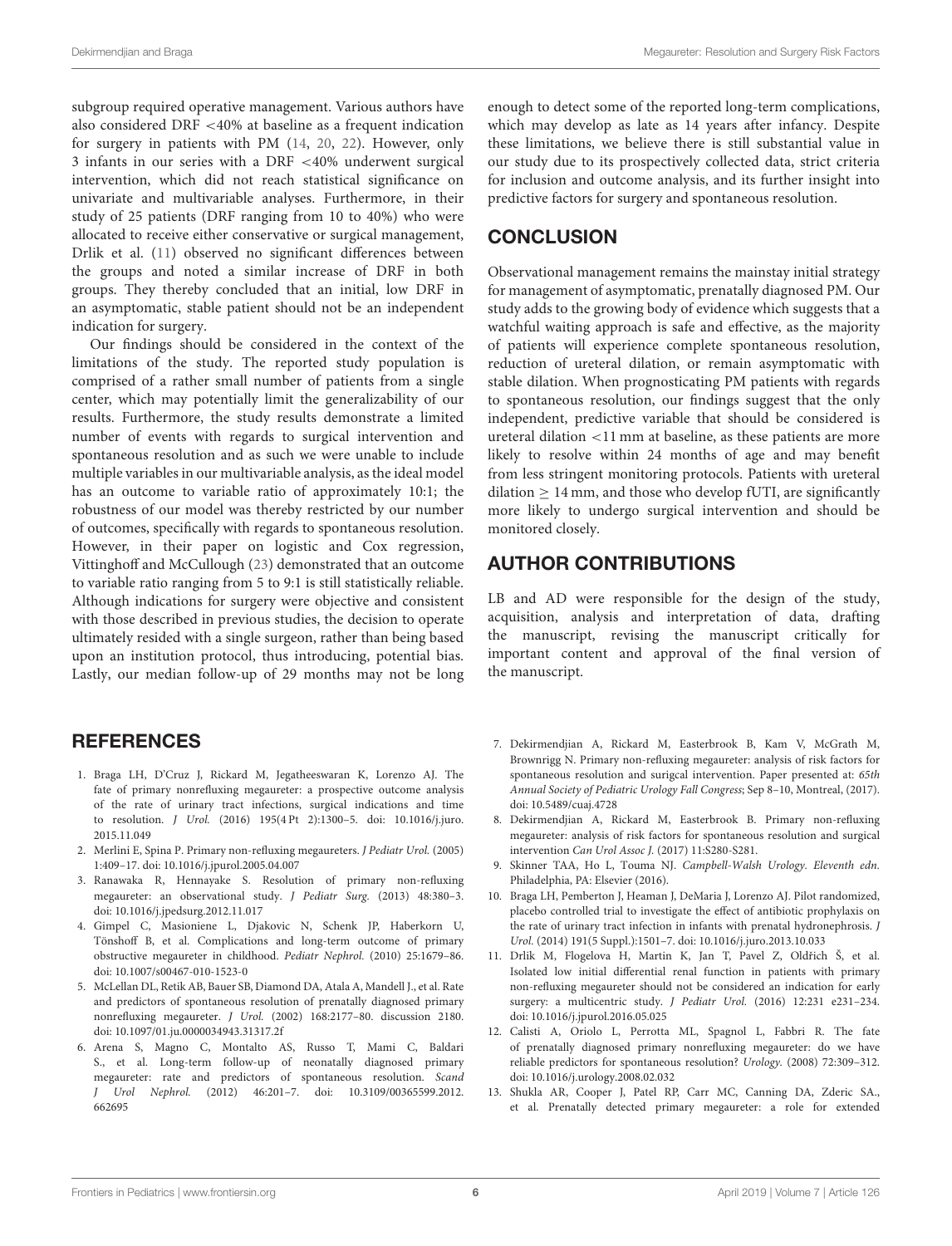subgroup required operative management. Various authors have also considered DRF <40% at baseline as a frequent indication for surgery in patients with PM [\(14,](#page-6-0) [20,](#page-6-6) [22\)](#page-6-8). However, only 3 infants in our series with a DRF <40% underwent surgical intervention, which did not reach statistical significance on univariate and multivariable analyses. Furthermore, in their study of 25 patients (DRF ranging from 10 to 40%) who were allocated to receive either conservative or surgical management, Drlik et al. [\(11\)](#page-5-9) observed no significant differences between the groups and noted a similar increase of DRF in both groups. They thereby concluded that an initial, low DRF in an asymptomatic, stable patient should not be an independent indication for surgery.

Our findings should be considered in the context of the limitations of the study. The reported study population is comprised of a rather small number of patients from a single center, which may potentially limit the generalizability of our results. Furthermore, the study results demonstrate a limited number of events with regards to surgical intervention and spontaneous resolution and as such we were unable to include multiple variables in our multivariable analysis, as the ideal model has an outcome to variable ratio of approximately 10:1; the robustness of our model was thereby restricted by our number of outcomes, specifically with regards to spontaneous resolution. However, in their paper on logistic and Cox regression, Vittinghoff and McCullough [\(23\)](#page-6-9) demonstrated that an outcome to variable ratio ranging from 5 to 9:1 is still statistically reliable. Although indications for surgery were objective and consistent with those described in previous studies, the decision to operate ultimately resided with a single surgeon, rather than being based upon an institution protocol, thus introducing, potential bias. Lastly, our median follow-up of 29 months may not be long

# **REFERENCES**

- <span id="page-5-0"></span>1. Braga LH, D'Cruz J, Rickard M, Jegatheeswaran K, Lorenzo AJ. The fate of primary nonrefluxing megaureter: a prospective outcome analysis of the rate of urinary tract infections, surgical indications and time to resolution. J Urol. [\(2016\) 195\(4 Pt 2\):1300–5. doi: 10.1016/j.juro.](https://doi.org/10.1016/j.juro.2015.11.049) 2015.11.049
- 2. Merlini E, Spina P. Primary non-refluxing megaureters. J Pediatr Urol. (2005) 1:409–17. doi: [10.1016/j.jpurol.2005.04.007](https://doi.org/10.1016/j.jpurol.2005.04.007)
- <span id="page-5-2"></span>3. Ranawaka R, Hennayake S. Resolution of primary non-refluxing megaureter: an observational study. J Pediatr Surg. (2013) 48:380–3. doi: [10.1016/j.jpedsurg.2012.11.017](https://doi.org/10.1016/j.jpedsurg.2012.11.017)
- <span id="page-5-1"></span>4. Gimpel C, Masioniene L, Djakovic N, Schenk JP, Haberkorn U, Tönshoff B, et al. Complications and long-term outcome of primary obstructive megaureter in childhood. Pediatr Nephrol. (2010) 25:1679–86. doi: [10.1007/s00467-010-1523-0](https://doi.org/10.1007/s00467-010-1523-0)
- <span id="page-5-3"></span>5. McLellan DL, Retik AB, Bauer SB, Diamond DA, Atala A, Mandell J., et al. Rate and predictors of spontaneous resolution of prenatally diagnosed primary nonrefluxing megaureter. J Urol. (2002) 168:2177–80. discussion 2180. doi: [10.1097/01.ju.0000034943.31317.2f](https://doi.org/10.1097/01.ju.0000034943.31317.2f)
- <span id="page-5-4"></span>6. Arena S, Magno C, Montalto AS, Russo T, Mami C, Baldari S., et al. Long-term follow-up of neonatally diagnosed primary megaureter: rate and predictors of spontaneous resolution. Scand J Urol Nephrol. [\(2012\) 46:201–7. doi: 10.3109/00365599.2012.](https://doi.org/10.3109/00365599.2012.662695) 662695

enough to detect some of the reported long-term complications, which may develop as late as 14 years after infancy. Despite these limitations, we believe there is still substantial value in our study due to its prospectively collected data, strict criteria for inclusion and outcome analysis, and its further insight into predictive factors for surgery and spontaneous resolution.

# **CONCLUSION**

Observational management remains the mainstay initial strategy for management of asymptomatic, prenatally diagnosed PM. Our study adds to the growing body of evidence which suggests that a watchful waiting approach is safe and effective, as the majority of patients will experience complete spontaneous resolution, reduction of ureteral dilation, or remain asymptomatic with stable dilation. When prognosticating PM patients with regards to spontaneous resolution, our findings suggest that the only independent, predictive variable that should be considered is ureteral dilation <11 mm at baseline, as these patients are more likely to resolve within 24 months of age and may benefit from less stringent monitoring protocols. Patients with ureteral  $dilation > 14$  mm, and those who develop fUTI, are significantly more likely to undergo surgical intervention and should be monitored closely.

# AUTHOR CONTRIBUTIONS

LB and AD were responsible for the design of the study, acquisition, analysis and interpretation of data, drafting the manuscript, revising the manuscript critically for important content and approval of the final version of the manuscript.

- <span id="page-5-5"></span>7. Dekirmendjian A, Rickard M, Easterbrook B, Kam V, McGrath M, Brownrigg N. Primary non-refluxing megaureter: analysis of risk factors for spontaneous resolution and surigcal intervention. Paper presented at: 65th Annual Society of Pediatric Urology Fall Congress; Sep 8–10, Montreal, (2017). doi: [10.5489/cuaj.4728](https://doi.org/10.5489/cuaj.4728)
- <span id="page-5-6"></span>8. Dekirmendjian A, Rickard M, Easterbrook B. Primary non-refluxing megaureter: analysis of risk factors for spontaneous resolution and surgical intervention Can Urol Assoc J. (2017) 11:S280-S281.
- <span id="page-5-7"></span>9. Skinner TAA, Ho L, Touma NJ. Campbell-Walsh Urology. Eleventh edn. Philadelphia, PA: Elsevier (2016).
- <span id="page-5-8"></span>10. Braga LH, Pemberton J, Heaman J, DeMaria J, Lorenzo AJ. Pilot randomized, placebo controlled trial to investigate the effect of antibiotic prophylaxis on the rate of urinary tract infection in infants with prenatal hydronephrosis. J Urol. (2014) 191(5 Suppl.):1501–7. doi: [10.1016/j.juro.2013.10.033](https://doi.org/10.1016/j.juro.2013.10.033)
- <span id="page-5-9"></span>11. Drlik M, Flogelova H, Martin K, Jan T, Pavel Z, Oldřich Š, et al. Isolated low initial differential renal function in patients with primary non-refluxing megaureter should not be considered an indication for early surgery: a multicentric study. J Pediatr Urol. (2016) 12:231 e231-234. doi: [10.1016/j.jpurol.2016.05.025](https://doi.org/10.1016/j.jpurol.2016.05.025)
- <span id="page-5-11"></span>12. Calisti A, Oriolo L, Perrotta ML, Spagnol L, Fabbri R. The fate of prenatally diagnosed primary nonrefluxing megaureter: do we have reliable predictors for spontaneous resolution? Urology. (2008) 72:309–312. doi: [10.1016/j.urology.2008.02.032](https://doi.org/10.1016/j.urology.2008.02.032)
- <span id="page-5-10"></span>13. Shukla AR, Cooper J, Patel RP, Carr MC, Canning DA, Zderic SA., et al. Prenatally detected primary megaureter: a role for extended